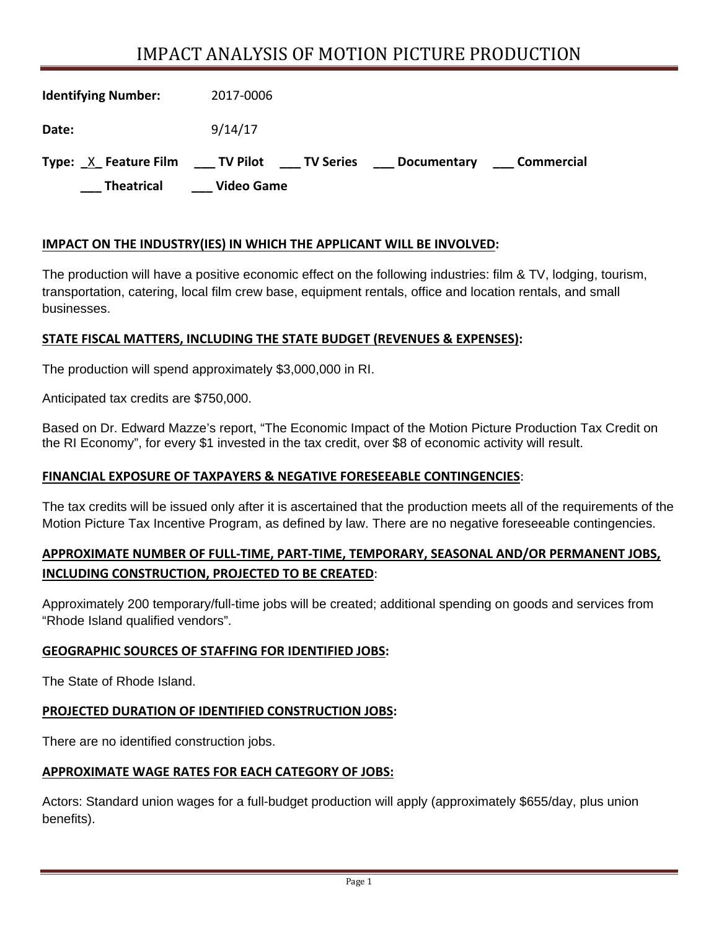# IMPACT ANALYSIS OF MOTION PICTURE PRODUCTION

|                   | Type: X Feature Film ____ TV Pilot ____ TV Series ____ Documentary<br>Commercial |
|-------------------|----------------------------------------------------------------------------------|
| <b>Theatrical</b> | <b>Video Game</b>                                                                |

## **IMPACT ON THE INDUSTRY(IES) IN WHICH THE APPLICANT WILL BE INVOLVED:**

The production will have a positive economic effect on the following industries: film & TV, lodging, tourism, transportation, catering, local film crew base, equipment rentals, office and location rentals, and small businesses.

#### **STATE FISCAL MATTERS, INCLUDING THE STATE BUDGET (REVENUES & EXPENSES):**

The production will spend approximately \$3,000,000 in RI.

Anticipated tax credits are \$750,000.

Based on Dr. Edward Mazze's report, "The Economic Impact of the Motion Picture Production Tax Credit on the RI Economy", for every \$1 invested in the tax credit, over \$8 of economic activity will result.

#### **FINANCIAL EXPOSURE OF TAXPAYERS & NEGATIVE FORESEEABLE CONTINGENCIES**:

The tax credits will be issued only after it is ascertained that the production meets all of the requirements of the Motion Picture Tax Incentive Program, as defined by law. There are no negative foreseeable contingencies.

# **APPROXIMATE NUMBER OF FULL‐TIME, PART‐TIME, TEMPORARY, SEASONAL AND/OR PERMANENT JOBS, INCLUDING CONSTRUCTION, PROJECTED TO BE CREATED**:

Approximately 200 temporary/full-time jobs will be created; additional spending on goods and services from "Rhode Island qualified vendors".

#### **GEOGRAPHIC SOURCES OF STAFFING FOR IDENTIFIED JOBS:**

The State of Rhode Island.

#### **PROJECTED DURATION OF IDENTIFIED CONSTRUCTION JOBS:**

There are no identified construction jobs.

#### **APPROXIMATE WAGE RATES FOR EACH CATEGORY OF JOBS:**

Actors: Standard union wages for a full-budget production will apply (approximately \$655/day, plus union benefits).